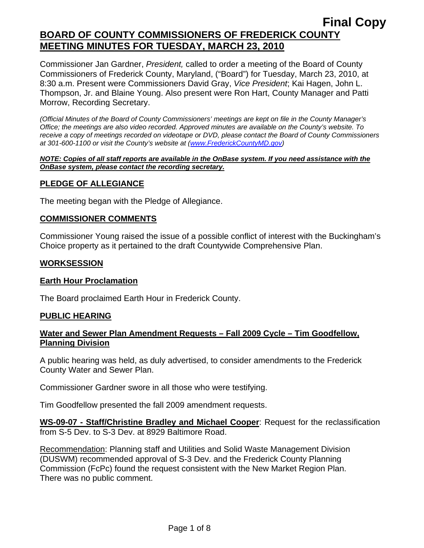Commissioner Jan Gardner, *President,* called to order a meeting of the Board of County Commissioners of Frederick County, Maryland, ("Board") for Tuesday, March 23, 2010, at 8:30 a.m. Present were Commissioners David Gray, *Vice President*; Kai Hagen, John L. Thompson, Jr. and Blaine Young. Also present were Ron Hart, County Manager and Patti Morrow, Recording Secretary.

*(Official Minutes of the Board of County Commissioners' meetings are kept on file in the County Manager's Office; the meetings are also video recorded. Approved minutes are available on the County's website. To receive a copy of meetings recorded on videotape or DVD, please contact the Board of County Commissioners at 301-600-1100 or visit the County's website at ([www.FrederickCountyMD.gov](http://www.frederickcountymd.gov/))* 

#### *NOTE: Copies of all staff reports are available in the OnBase system. If you need assistance with the OnBase system, please contact the recording secretary.*

# **PLEDGE OF ALLEGIANCE**

The meeting began with the Pledge of Allegiance.

#### **COMMISSIONER COMMENTS**

Commissioner Young raised the issue of a possible conflict of interest with the Buckingham's Choice property as it pertained to the draft Countywide Comprehensive Plan.

#### **WORKSESSION**

#### **Earth Hour Proclamation**

The Board proclaimed Earth Hour in Frederick County.

#### **PUBLIC HEARING**

#### **Water and Sewer Plan Amendment Requests – Fall 2009 Cycle – Tim Goodfellow, Planning Division**

A public hearing was held, as duly advertised, to consider amendments to the Frederick County Water and Sewer Plan.

Commissioner Gardner swore in all those who were testifying.

Tim Goodfellow presented the fall 2009 amendment requests.

**WS-09-07 - Staff/Christine Bradley and Michael Cooper**: Request for the reclassification from S-5 Dev. to S-3 Dev. at 8929 Baltimore Road.

Recommendation: Planning staff and Utilities and Solid Waste Management Division (DUSWM) recommended approval of S-3 Dev. and the Frederick County Planning Commission (FcPc) found the request consistent with the New Market Region Plan. There was no public comment.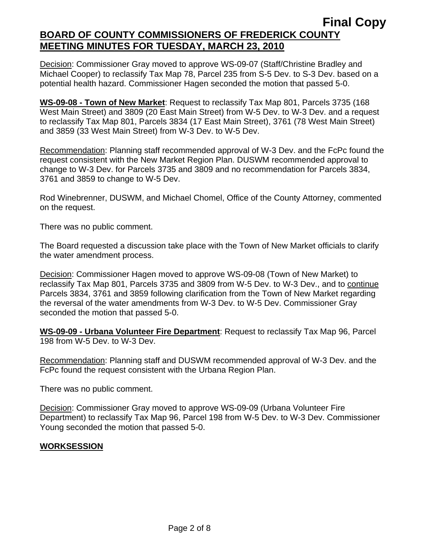Decision: Commissioner Gray moved to approve WS-09-07 (Staff/Christine Bradley and Michael Cooper) to reclassify Tax Map 78, Parcel 235 from S-5 Dev. to S-3 Dev. based on a potential health hazard. Commissioner Hagen seconded the motion that passed 5-0.

**WS-09-08 - Town of New Market**: Request to reclassify Tax Map 801, Parcels 3735 (168 West Main Street) and 3809 (20 East Main Street) from W-5 Dev. to W-3 Dev. and a request to reclassify Tax Map 801, Parcels 3834 (17 East Main Street), 3761 (78 West Main Street) and 3859 (33 West Main Street) from W-3 Dev. to W-5 Dev.

Recommendation: Planning staff recommended approval of W-3 Dev. and the FcPc found the request consistent with the New Market Region Plan. DUSWM recommended approval to change to W-3 Dev. for Parcels 3735 and 3809 and no recommendation for Parcels 3834, 3761 and 3859 to change to W-5 Dev.

Rod Winebrenner, DUSWM, and Michael Chomel, Office of the County Attorney, commented on the request.

There was no public comment.

The Board requested a discussion take place with the Town of New Market officials to clarify the water amendment process.

Decision: Commissioner Hagen moved to approve WS-09-08 (Town of New Market) to reclassify Tax Map 801, Parcels 3735 and 3809 from W-5 Dev. to W-3 Dev., and to continue Parcels 3834, 3761 and 3859 following clarification from the Town of New Market regarding the reversal of the water amendments from W-3 Dev. to W-5 Dev. Commissioner Gray seconded the motion that passed 5-0.

**WS-09-09 - Urbana Volunteer Fire Department**: Request to reclassify Tax Map 96, Parcel 198 from W-5 Dev. to W-3 Dev.

Recommendation: Planning staff and DUSWM recommended approval of W-3 Dev. and the FcPc found the request consistent with the Urbana Region Plan.

There was no public comment.

Decision: Commissioner Gray moved to approve WS-09-09 (Urbana Volunteer Fire Department) to reclassify Tax Map 96, Parcel 198 from W-5 Dev. to W-3 Dev. Commissioner Young seconded the motion that passed 5-0.

# **WORKSESSION**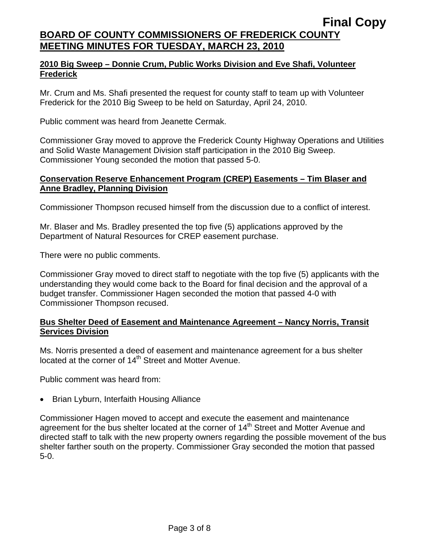# **2010 Big Sweep – Donnie Crum, Public Works Division and Eve Shafi, Volunteer Frederick**

Mr. Crum and Ms. Shafi presented the request for county staff to team up with Volunteer Frederick for the 2010 Big Sweep to be held on Saturday, April 24, 2010.

Public comment was heard from Jeanette Cermak.

Commissioner Gray moved to approve the Frederick County Highway Operations and Utilities and Solid Waste Management Division staff participation in the 2010 Big Sweep. Commissioner Young seconded the motion that passed 5-0.

# **Conservation Reserve Enhancement Program (CREP) Easements – Tim Blaser and Anne Bradley, Planning Division**

Commissioner Thompson recused himself from the discussion due to a conflict of interest.

Mr. Blaser and Ms. Bradley presented the top five (5) applications approved by the Department of Natural Resources for CREP easement purchase.

There were no public comments.

Commissioner Gray moved to direct staff to negotiate with the top five (5) applicants with the understanding they would come back to the Board for final decision and the approval of a budget transfer. Commissioner Hagen seconded the motion that passed 4-0 with Commissioner Thompson recused.

# **Bus Shelter Deed of Easement and Maintenance Agreement – Nancy Norris, Transit Services Division**

Ms. Norris presented a deed of easement and maintenance agreement for a bus shelter located at the corner of 14<sup>th</sup> Street and Motter Avenue.

Public comment was heard from:

• Brian Lyburn, Interfaith Housing Alliance

Commissioner Hagen moved to accept and execute the easement and maintenance agreement for the bus shelter located at the corner of 14<sup>th</sup> Street and Motter Avenue and directed staff to talk with the new property owners regarding the possible movement of the bus shelter farther south on the property. Commissioner Gray seconded the motion that passed 5-0.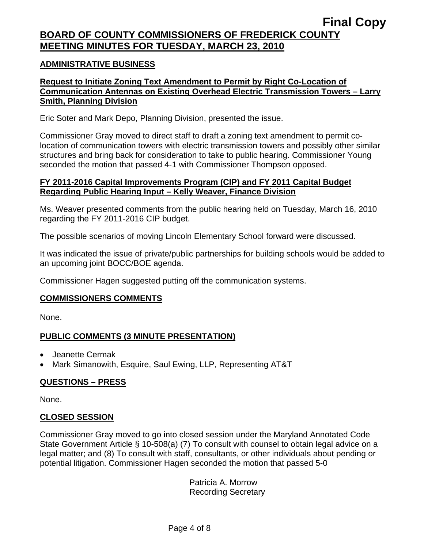# **ADMINISTRATIVE BUSINESS**

# **Request to Initiate Zoning Text Amendment to Permit by Right Co-Location of Communication Antennas on Existing Overhead Electric Transmission Towers – Larry Smith, Planning Division**

Eric Soter and Mark Depo, Planning Division, presented the issue.

Commissioner Gray moved to direct staff to draft a zoning text amendment to permit colocation of communication towers with electric transmission towers and possibly other similar structures and bring back for consideration to take to public hearing. Commissioner Young seconded the motion that passed 4-1 with Commissioner Thompson opposed.

# **FY 2011-2016 Capital Improvements Program (CIP) and FY 2011 Capital Budget Regarding Public Hearing Input – Kelly Weaver, Finance Division**

Ms. Weaver presented comments from the public hearing held on Tuesday, March 16, 2010 regarding the FY 2011-2016 CIP budget.

The possible scenarios of moving Lincoln Elementary School forward were discussed.

It was indicated the issue of private/public partnerships for building schools would be added to an upcoming joint BOCC/BOE agenda.

Commissioner Hagen suggested putting off the communication systems.

# **COMMISSIONERS COMMENTS**

None.

# **PUBLIC COMMENTS (3 MINUTE PRESENTATION)**

- Jeanette Cermak
- Mark Simanowith, Esquire, Saul Ewing, LLP, Representing AT&T

# **QUESTIONS – PRESS**

None.

# **CLOSED SESSION**

Commissioner Gray moved to go into closed session under the Maryland Annotated Code State Government Article § 10-508(a) (7) To consult with counsel to obtain legal advice on a legal matter; and (8) To consult with staff, consultants, or other individuals about pending or potential litigation. Commissioner Hagen seconded the motion that passed 5-0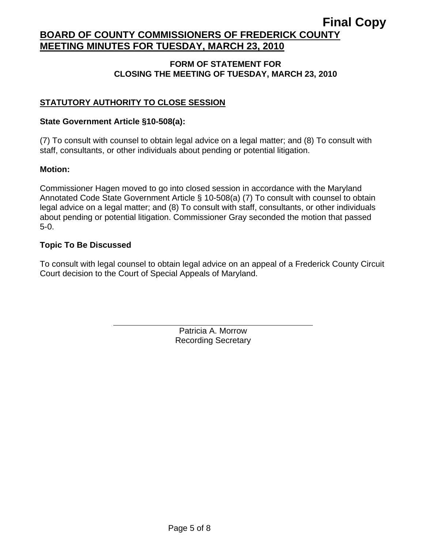# **Final Copy**

# **BOARD OF COUNTY COMMISSIONERS OF FREDERICK COUNTY MEETING MINUTES FOR TUESDAY, MARCH 23, 2010**

# **FORM OF STATEMENT FOR CLOSING THE MEETING OF TUESDAY, MARCH 23, 2010**

# **STATUTORY AUTHORITY TO CLOSE SESSION**

## **State Government Article §10-508(a):**

 $\overline{a}$ 

(7) To consult with counsel to obtain legal advice on a legal matter; and (8) To consult with staff, consultants, or other individuals about pending or potential litigation.

#### **Motion:**

Commissioner Hagen moved to go into closed session in accordance with the Maryland Annotated Code State Government Article § 10-508(a) (7) To consult with counsel to obtain legal advice on a legal matter; and (8) To consult with staff, consultants, or other individuals about pending or potential litigation. Commissioner Gray seconded the motion that passed 5-0.

#### **Topic To Be Discussed**

To consult with legal counsel to obtain legal advice on an appeal of a Frederick County Circuit Court decision to the Court of Special Appeals of Maryland.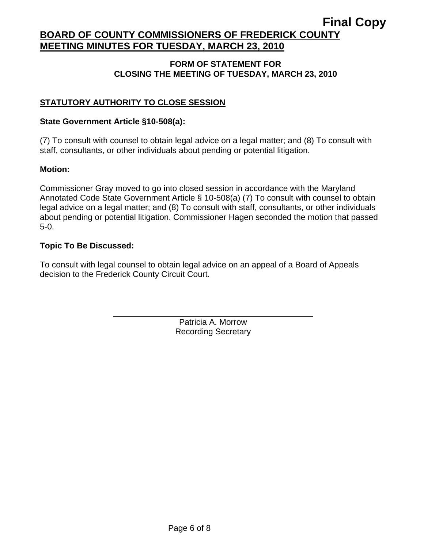# **Final Copy**

# **BOARD OF COUNTY COMMISSIONERS OF FREDERICK COUNTY MEETING MINUTES FOR TUESDAY, MARCH 23, 2010**

# **FORM OF STATEMENT FOR CLOSING THE MEETING OF TUESDAY, MARCH 23, 2010**

# **STATUTORY AUTHORITY TO CLOSE SESSION**

# **State Government Article §10-508(a):**

 $\overline{a}$ 

(7) To consult with counsel to obtain legal advice on a legal matter; and (8) To consult with staff, consultants, or other individuals about pending or potential litigation.

#### **Motion:**

Commissioner Gray moved to go into closed session in accordance with the Maryland Annotated Code State Government Article § 10-508(a) (7) To consult with counsel to obtain legal advice on a legal matter; and (8) To consult with staff, consultants, or other individuals about pending or potential litigation. Commissioner Hagen seconded the motion that passed 5-0.

#### **Topic To Be Discussed:**

To consult with legal counsel to obtain legal advice on an appeal of a Board of Appeals decision to the Frederick County Circuit Court.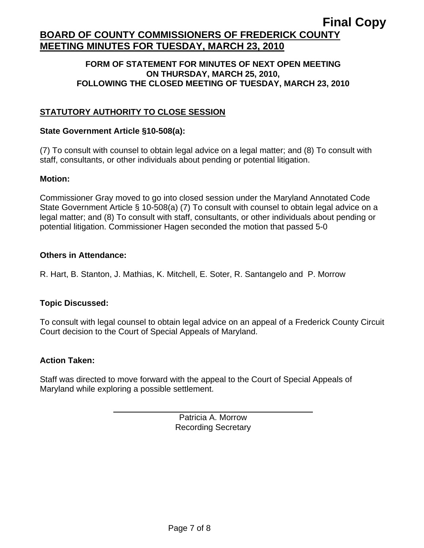#### **FORM OF STATEMENT FOR MINUTES OF NEXT OPEN MEETING ON THURSDAY, MARCH 25, 2010, FOLLOWING THE CLOSED MEETING OF TUESDAY, MARCH 23, 2010**

# **STATUTORY AUTHORITY TO CLOSE SESSION**

#### **State Government Article §10-508(a):**

(7) To consult with counsel to obtain legal advice on a legal matter; and (8) To consult with staff, consultants, or other individuals about pending or potential litigation.

#### **Motion:**

Commissioner Gray moved to go into closed session under the Maryland Annotated Code State Government Article § 10-508(a) (7) To consult with counsel to obtain legal advice on a legal matter; and (8) To consult with staff, consultants, or other individuals about pending or potential litigation. Commissioner Hagen seconded the motion that passed 5-0

#### **Others in Attendance:**

R. Hart, B. Stanton, J. Mathias, K. Mitchell, E. Soter, R. Santangelo and P. Morrow

# **Topic Discussed:**

To consult with legal counsel to obtain legal advice on an appeal of a Frederick County Circuit Court decision to the Court of Special Appeals of Maryland.

#### **Action Taken:**

 $\overline{a}$ 

Staff was directed to move forward with the appeal to the Court of Special Appeals of Maryland while exploring a possible settlement.